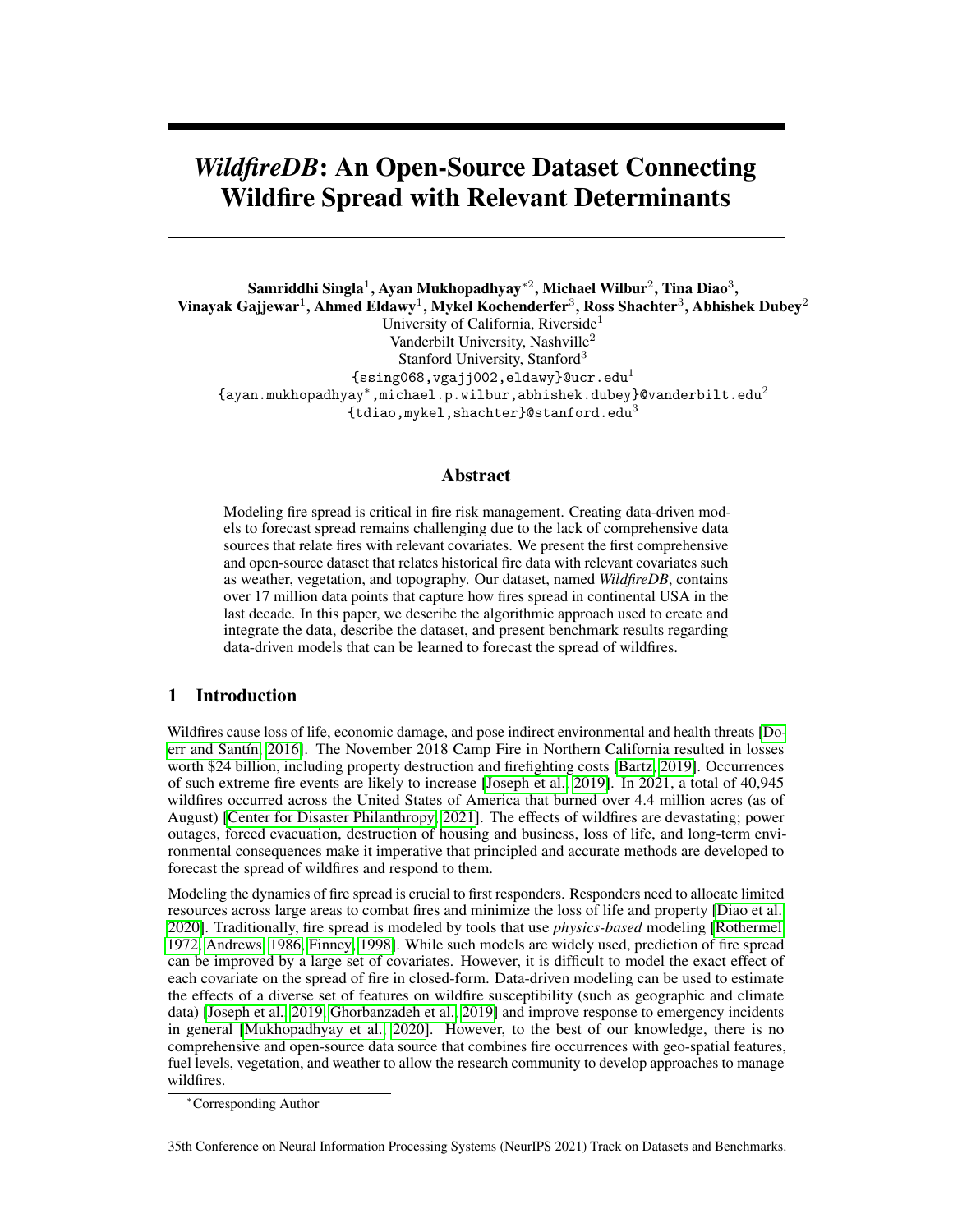# *WildfireDB*: An Open-Source Dataset Connecting Wildfire Spread with Relevant Determinants

Samriddhi Singla $^1$ , Ayan Mukhopadhyay\* $^2$ , Michael Wilbur $^2$ , Tina Diao $^3,$ Vinayak Gajjewar $^1$ , Ahmed Eldawy $^1$ , Mykel Kochenderfer $^3$ , Ross Shachter $^3$ , Abhishek Dubey $^2$ University of California, Riverside<sup>1</sup> Vanderbilt University, Nashville<sup>2</sup> Stanford University, Stanford<sup>3</sup>  ${ssingle}$  (ssing068, vgajj002, eldawy}@ucr.edu<sup>1</sup>  $\{$ ayan.mukhopadhyay^{\ast },\texttt{michael.p.wilbur, abhishek.dubey}\}  $\texttt{Quadrbilt.edu}^2$ {tdiao, mykel, shachter}@stanford.edu<sup>3</sup>

### Abstract

Modeling fire spread is critical in fire risk management. Creating data-driven models to forecast spread remains challenging due to the lack of comprehensive data sources that relate fires with relevant covariates. We present the first comprehensive and open-source dataset that relates historical fire data with relevant covariates such as weather, vegetation, and topography. Our dataset, named *WildfireDB*, contains over 17 million data points that capture how fires spread in continental USA in the last decade. In this paper, we describe the algorithmic approach used to create and integrate the data, describe the dataset, and present benchmark results regarding data-driven models that can be learned to forecast the spread of wildfires.

# 1 Introduction

Wildfires cause loss of life, economic damage, and pose indirect environmental and health threats [\[Do](#page-6-0)[err and Santín, 2016\]](#page-6-0). The November 2018 Camp Fire in Northern California resulted in losses worth \$24 billion, including property destruction and firefighting costs [\[Bartz, 2019\]](#page-6-1). Occurrences of such extreme fire events are likely to increase [\[Joseph et al., 2019\]](#page-6-2). In 2021, a total of 40,945 wildfires occurred across the United States of America that burned over 4.4 million acres (as of August) [\[Center for Disaster Philanthropy, 2021\]](#page-6-3). The effects of wildfires are devastating; power outages, forced evacuation, destruction of housing and business, loss of life, and long-term environmental consequences make it imperative that principled and accurate methods are developed to forecast the spread of wildfires and respond to them.

Modeling the dynamics of fire spread is crucial to first responders. Responders need to allocate limited resources across large areas to combat fires and minimize the loss of life and property [\[Diao et al.,](#page-6-4) [2020\]](#page-6-4). Traditionally, fire spread is modeled by tools that use *physics-based* modeling [\[Rothermel,](#page-7-0) [1972,](#page-7-0) [Andrews, 1986,](#page-7-1) [Finney, 1998\]](#page-7-2). While such models are widely used, prediction of fire spread can be improved by a large set of covariates. However, it is difficult to model the exact effect of each covariate on the spread of fire in closed-form. Data-driven modeling can be used to estimate the effects of a diverse set of features on wildfire susceptibility (such as geographic and climate data) [\[Joseph et al., 2019,](#page-6-2) [Ghorbanzadeh et al., 2019\]](#page-7-3) and improve response to emergency incidents in general [\[Mukhopadhyay et al., 2020\]](#page-7-4). However, to the best of our knowledge, there is no comprehensive and open-source data source that combines fire occurrences with geo-spatial features, fuel levels, vegetation, and weather to allow the research community to develop approaches to manage wildfires.

<sup>∗</sup>Corresponding Author

<sup>35</sup>th Conference on Neural Information Processing Systems (NeurIPS 2021) Track on Datasets and Benchmarks.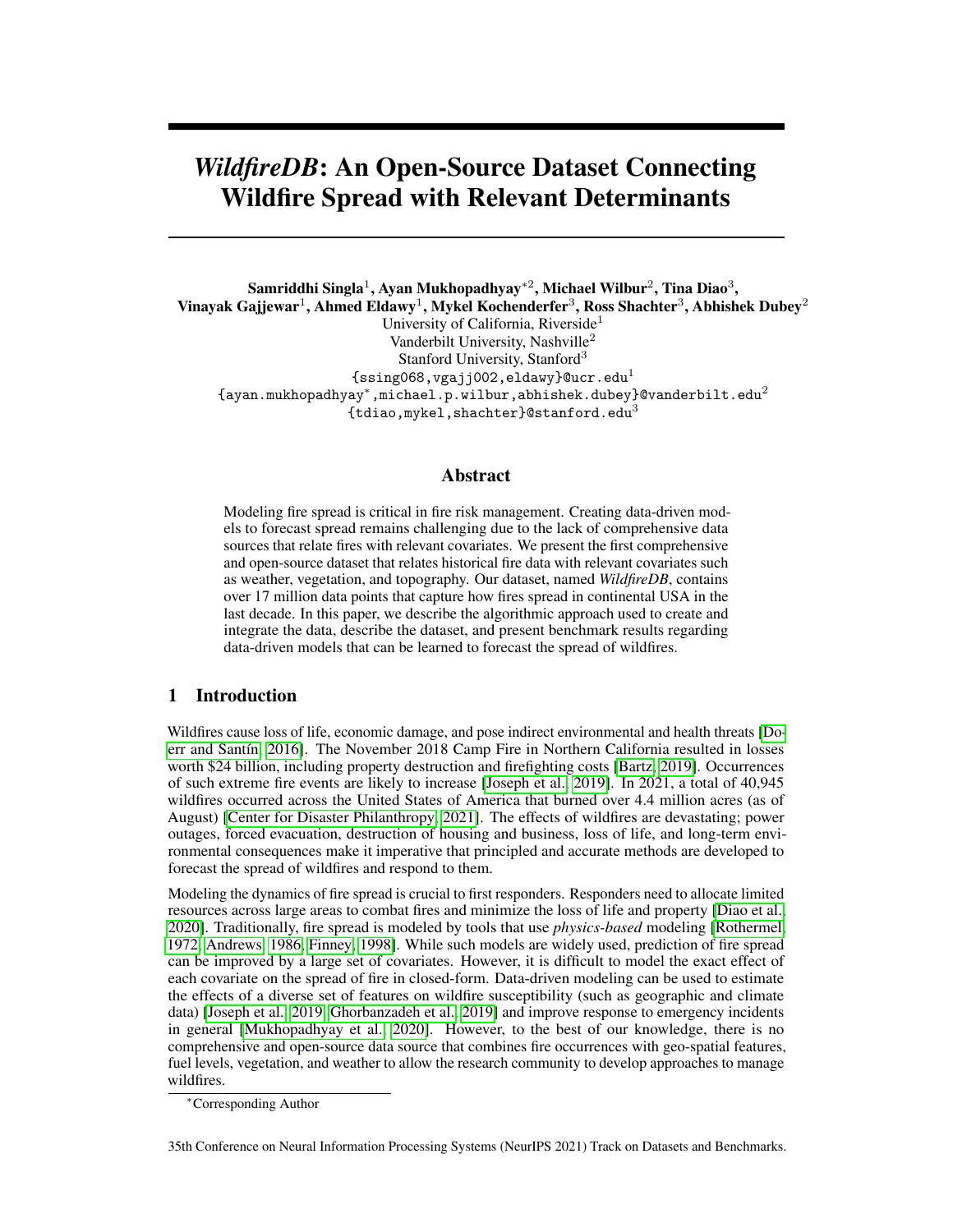Generating a comprehensive dataset about wildfires is difficult due to many reasons. First, data regarding fire occurrence and covariates is often collected and stored by different agencies and sources. Also, such data is usually available in different data models. For example, the locations and sizes of historical fire occurrences are usually available in a vector model, while information about vegetation, fuel, and topographic features is available in a raster model. These two data models use different storage mechanisms and computational methods that make it difficult to combine them. **Second**, fires spread through extremely large areas through which covariates can vary significantly. As an example, the number of spatial units we use to gather data about vegetation type (and other features) is over 18 billion. Mining such large-scale feature data is a massive computational bottleneck. The large size of the data sources further complicates the fusion of raster and vector data. Third, while weather is an important determinant of fire spread, obtaining granular weather data is challenging.

Through this paper, we make available a spatio-temporal dataset, *WildfireDB*, that can be used to model how wildfires spread as a function of relevant covariates. Our data generation, to a large extent, is based on our previous work on large-scale vector and raster analysis [\[Singla and Eldawy, 2020\]](#page-7-5), which introduces a novel algorithmic approach to merge large scale raster and vector data. To create a comprehensive dataset regarding wildfire propagation, we use the area of continental United States, covering a total area of 8,080,464 sq. kilometers. We look at every wildfire occurrence in our area of interest from 2012-2017. Since the spread of wildfires is largely determined by determinants such as weather, topography, and fuel levels, we extract relevant information from other data streams and merge them with information about fire occurrences. Our dataset consists of a total of 17,820,835 data points.

The rest of the paper is organized as follows. We first describe the data sources used to create the dataset in section [2.](#page-1-0) Then, we describe the algorithmic approach used to generate the data in section [3.](#page-2-0) Benchmark results and intended use of the dataset is presented in section [5.](#page-5-0) We follow the framework described by Gebru et al. in "datasheet for datasets" [\[Gebru et al., 2018\]](#page-7-6) to create a detailed documentation for the proposed dataset, which is presented in the appendix.

# <span id="page-1-0"></span>2 Data Sources

Our goal is to present a data source that can be used to model both fire occurrences and the spread of fires. We discretize space and time to create our dataset (we discuss the unit of discretization below). Each entry in the dataset consists of a specific spatial location (we refer to such spatial units as *cells*) that is observed to be on fire at a particular time-step along with spatially-associated vegetation descriptors, fuel levels, and topography information. Each entry also consists of fire occurrence and the same set of features in a neighboring cell at the subsequent time-step.

The fire occurrence data is collected in vector form from the Visible Infrared Imaging Radiometer Suite (VIIRS) thermal anomalies/active fire database [\[Schroeder et al., 2014,](#page-7-7) [NASA, 2020\]](#page-7-8). The database provides information from the VIIRS sensors on the joint NASA/NOAA Suomi National Polar-orbiting Partnership (Suomi NPP) and NOAA-20 satellites. While it is also possible to use Moderate Resolution Imaging Spectroradiometer (MODIS) fire detection, we choose VIIRS sensor data due to its improved spatial resolution and improved night-time performance. The dataset contains latitude and longitude values that correspond to the center of pixels representing  $375$   $375$  meter square cells. An incidence of fire is indicated by the fire radiative power (FRP) of the concerned pixel (cell) which corresponds to the pixel-integrated fire radiative power in megawatts. Due to the increased spatial and spectral resolution the data released by NASA, the fire detection algorithm is tuned in order to optimize its performance even for small fires while balancing the occurrence of false positives [\[NASA, 2020\]](#page-7-8). The temporal granularity of the data depends of the specific area of interest and the frequency with which satellites sweep over the area. For continental United States, we observe that the temporal frequency of fire detection varies between 1 and 8 observations per day, with about 85% of the area under consideration having 1 observation per day. As a result, we use a temporal discretization of a day. However, for spatial locations that have more than a single observation in a day, we report all observations.

The vegetation, fuel, and topography data are collected in raster form from the "LANDFIRE" project [\[Ryan and Opperman, 2013\]](#page-7-9), which is based on satellite imagery. The raster files have a spatial resolution of 30 30 meter square cells. For each feature such as vegetation cover, we process approximately 15 billion raster pixels. This includes data categories such as canopy base density,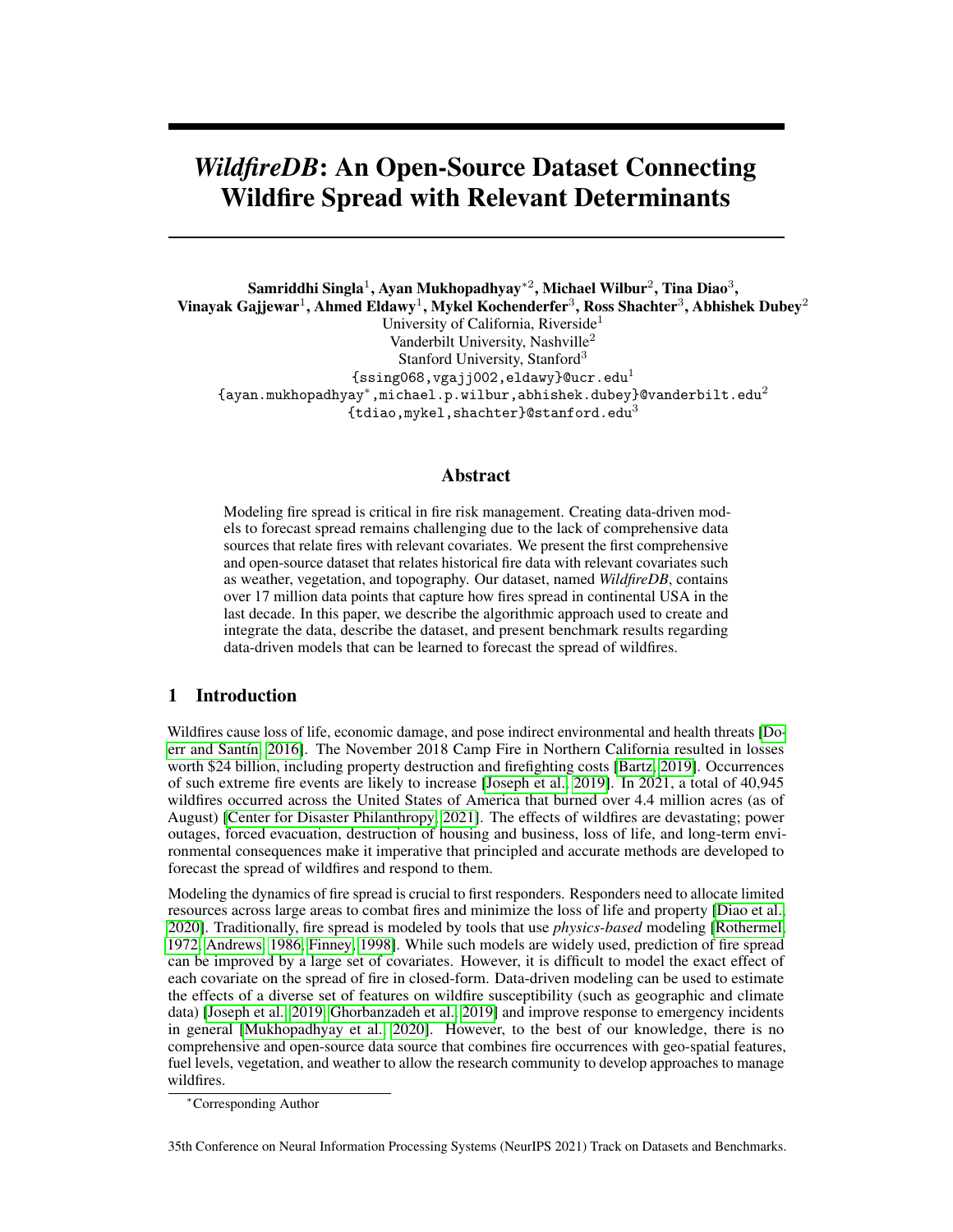<span id="page-2-1"></span>

| Year(s)          |
|------------------|
| 2012, 2014, 2016 |
| 2012, 2014, 2016 |
| 2012, 2014, 2016 |
| 2012, 2014, 2016 |
| 2012, 2014, 2016 |
| 2012, 2014, 2016 |
| 2012, 2014, 2016 |
| 2016             |
| 2016             |
|                  |

Table 1: LANDFIRE raster data categories

canopy cover, and vegetation type. We list all the data categories gathered from the Landfire project in Table [1.](#page-2-1) Further, we collect weather data from Meteostat [\[Meteostat, 2020\]](#page-7-10), an online service which provides weather and climate statistics around the globe. For continental USA, Meteostat collects raw data from the National Oceanic and Atmospheric Administration (NOAA). We gather aggregated daily weather data for 5,787 weather stations in the continental USA. Weather parameters include average, minimum and maximum temperature, total precipitation, average atmospheric pressure, average wind speed, and average wind direction.

## <span id="page-2-0"></span>3 Data Generation

To reconcile the different spatial resolutions, we divide the spatial area under consideration into a grid  $G$  consisting of 375 375 meter cells (the resolution of VIIRS data), resulting in over 55 million 375 meter cells (the resolution of VIIRS data), resulting in over 55 million polygons. Let an arbitrary cell be denoted by  $g_i \, 2 \, G$ . The center of each fire pixel from the vector data can therefore overlap with exactly one cell in the grid. To compute the corresponding vegetation, fuel, and topographic information associated with each data point, we compute *zonal statistics* for the vector data using the raster data. The method of zonal statistics calculation refers to computing summary statistics using a raster dataset within zones defined by another dataset (typically in vector form). We show the process in Fig. [1.](#page-3-0)

The data generation process as depicted in Figure [2](#page-3-1) includes the following steps: 1. Compute zonal statistics for each spatial cell (in the form of a polygon in the vector data) using the LANDFIRE raster data. 2. Find the spatial neighbors for each cell. We define spatial neighborhood of a cell as the set of all adjacent cells in the grid. 3. For each fire observed in the VIIRS dataset, find its corresponding cell in the grid. 4. Let an arbitrary fire observed be denoted by  $(g_i, t)$  where  $g_i \, 2 \, G$  and t denote the location of the fire and its observed time of occurrence respectively. For each such point, we generate the tuple  $fg_i, t, f_i, x_{it}, g_n, t + 1, f_n, x_{nt+1}g$ , where  $g_i$  and  $g_n$  are neighbors,  $g_i$  is observed to be on fire at time-step t, and  $g_n$  may or may not be burning at time-step  $t + 1$ . The feature vectors for the cells  $g_i$  and  $g_i$  are denoted by  $f_i$  and  $f_i$  respectively. Similarly,  $x_{it}$  and  $x_{nt+1}$  denote the FRP value of cell  $g_i$  (at time t) and cell  $g_i$  (at time t + 1) respectively. We describe each step below.

**1. Compute Zonal Statistics:** For each spatial cell in the 375m 375m grid placed over continental USA and for each raster dataset mentioned in Table [1,](#page-2-1) we want to compute aggregated feature vectors. To compute zonal statistics, we employ the fully distributed system proposed in [Singla](#page-7-5) [and Eldawy](#page-7-5) [\[2020\]](#page-7-5) on an Amazon AWS EMR cluster with one head node and 19 worker nodes of type m4.2xlarge with 2.4 GHz Intel Xeon  $E_5 - 2676$  v3 processor, 32 GB of RAM, up to 100 GB of SSD, and 2 8-core processors. We work with data in their native formats by computing an intermediate data structure called *intersection file* that maps raster to vector data. The creation of *intersection file* also facilitates the use of distributed computing to compute zonal statistics, thereby enabling the processing of massive vector and raster data. This process outputs a collection of tuples  $(g_i, Geometry_i, f_i)$  where  $Geometry_i$  and  $f_i$  refer to the actual spatial geometry and the set of feature values calculated for cell  $g_i$  respectively.

2. Find neighbors: The neighbors for each cell in the spatial grid are computed by doing a spatial self-join using the predicate *touches* on the Geometry values of the tuples generated in the previous step. The predicate *touches* returns true, if and only if the boundaries of the cells intersect. We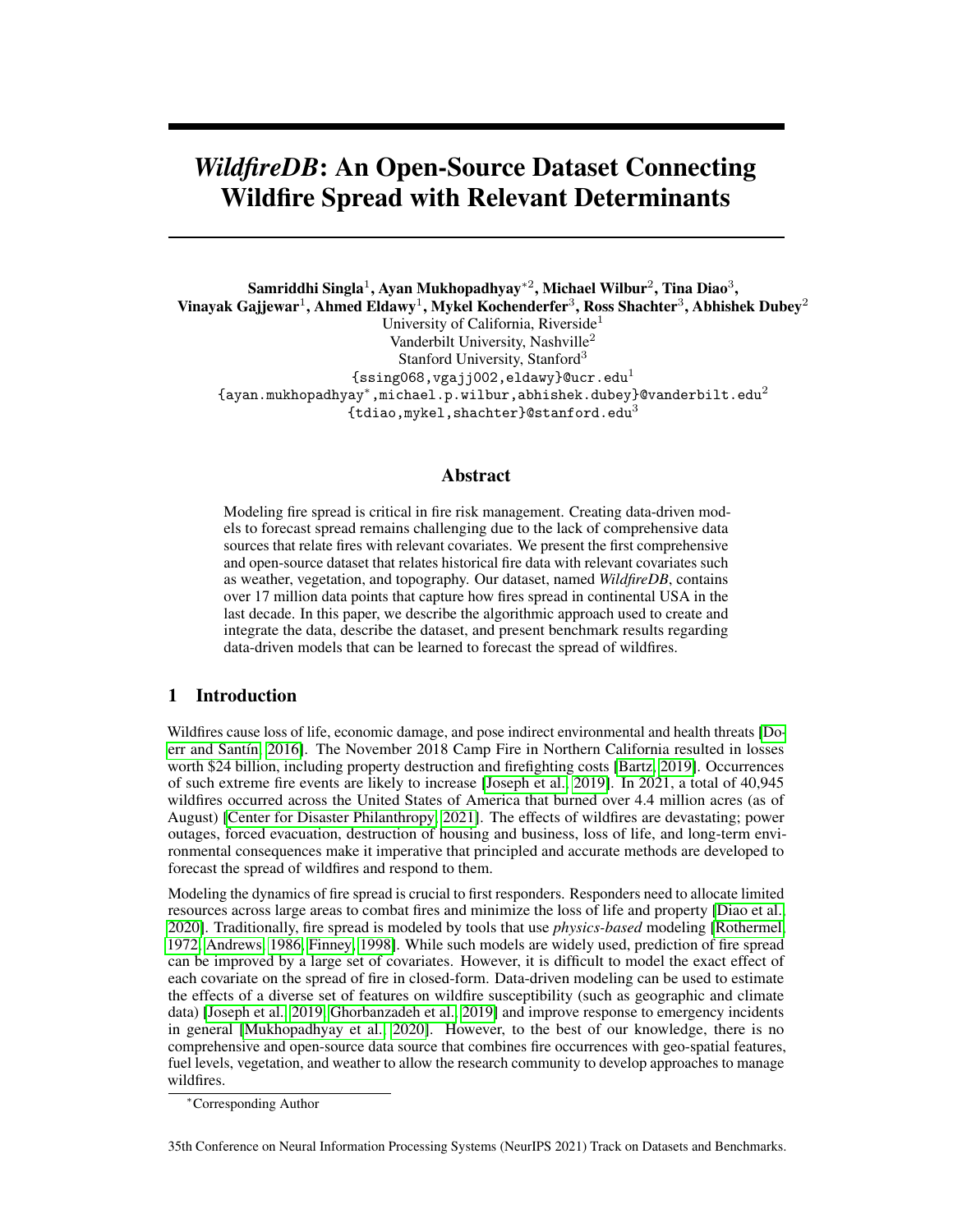<span id="page-3-0"></span>

Figure 1: Calculating zonal statistics. (i) An example cell  $q_i \, 2 \, G$  from VIIRS fire occurrence data with a spatial resolution of 375m x 375m. (ii) Multiple LANDFIRE pixels (available in the form of raster data) overlap with  $g_i$ . (iii) The process of calculating zonal statistics computes the set of raster pixels that overlap with  $g_i$  (shown in blue) and then calculates summary statistics using the set

<span id="page-3-1"></span>

Figure 2: Data Generation Process

implement the spatial join using SpatialHadoop [\[Eldawy and Mokbel, 2015\]](#page-7-11). It outputs a collection of tuples  $(g_i, Geometry_i, f_i, g_n, Geometry_n, f_n)$  where each tuple in the previous step is appended by the tuples of one of its neighbors (recall that we use subscript  $n$  to denote variables that refer to the neighbors of the cell in consideration).

3. Find cell for each fire point: For specific points (latitude-longitude pairs) in VIIRS data and the cells in our spatial grid, a spatial join using the predicate *contains* is performed to find the cell that each fire point is contained in. The predicate *contains* returns true, if and only if the fire point lies in the interior of the cell. This step is implemented using SpatialHadoop [\[Eldawy and Mokbel, 2015\]](#page-7-11).

4. Generate tuples: To generate the final tuples for *WildfireDB*, we start by filtering the tuples in the VIIRS data for the years 2012 to 2017. The VIIRS dataset may contain multiple tuples for the same fire point having the same time-step yet different FRP values. We group all such tuples by the fire point and time-step and create a list for the FRP values to generate a single tuple. The resulting VIIRS tuples are then joined with tuples from Step 2. Finally, we filter information about each neighbor of the cell under consideration at the next time step. This results in tuples of the form  $(g_i, Geometry_i, f_i, t, x_{it}, g_n, Geometry_n, f_n, t+1, x_{nt+1})$ . If the condition on the neighbor's time-step is not satisfied, the value of  $x_{nt+1}$  is set to zero, i.e. no fire.

5. Weather: To incorporate weather, for each tuple generated in step 4, we find all weather stations within 160 km and sort the stations by distance to the centroid of the cell's geometry. For each weather parameter we find the weather reading from the nearest weather station for which a valid reading was available. If there is no valid weather reading for a given parameter from a station within 160 km of the centroid of a cell on a given day, a null value is recorded for that parameter. Recall that each data point in our dataset consists of information about two spatial cells: a reference cell observed to be on fire at a time-step and a neighboring cell that may or may not be on fire in the subsequent time-step. Since we want to capture how fire spreads spatially, we incorporate how wind blows relative to the reference and the neighboring cell. Consider an arbitrary tuple with reference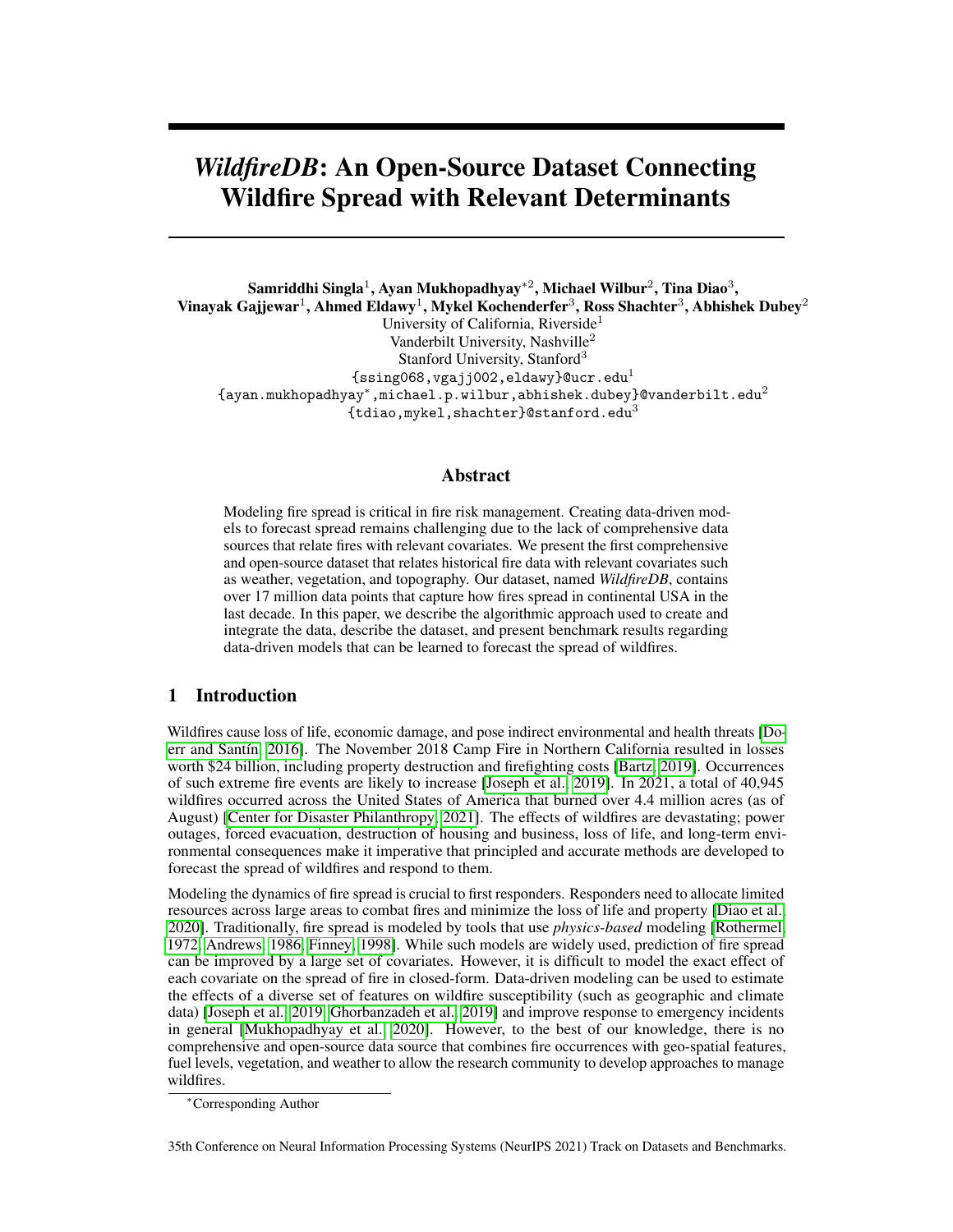

Figure 3: (a) A SW wind (southwesterly) with meteorological wind direction  $\varphi_W = 225^\circ$ , which corresponds to a polar wind direction of  $\alpha_w = 45^\circ$ . (b) Calculating the wind component  $(w_c)$  of a southwesterly wind with  $\alpha_w = 45^\circ$  and magnitude of  $w_s$  on a neighboring cell directly southeast  $(\alpha_n = 315^{\circ}).$ 



#### <span id="page-4-0"></span>**Wildfire Visualization Interface**

Figure 4: WildfireDB Visualization Interface

cell  $g_i$  2 G and neighboring cell  $g_j$  2 G. Let the time under consideration be denoted by t. Let the average wind speed be  $w_s$  and the average meteorological wind direction be  $\varphi_w$  at time t. We follow the convention of measuring meteorological wind direction with respect to the north-south line in a clockwise manner (see Fig. 3). Let the component of  $w_s$  that lies on the line connecting  $g_i$  and  $g_j$  be denoted by  $w_c$ . The component  $w_c$  can be calculated as  $w_s \cos(\alpha_n - \alpha_w)$ , where  $\alpha_n = \tan(2(y, x))$ , where y and x are the difference in latitude and longitude between the cells respectively (see Figure  $3$ for details).

## 4 Data Availability

In order to enable practitioners and researchers access the data based on their needs, we have created an online interface where users can visualize the WildfireDB dataset. The users can use pan and zoom functions to explore the data. Users can also download data based on a specific area of interest or by using a specific zoom level (or download the entire data at once). Information pertaining to individual fires can also be seen by hovering or clicking. We show the interface in Figure [4.](#page-4-0) The database and its description is also maintained at <https://wildfire-modeling.github.io/>.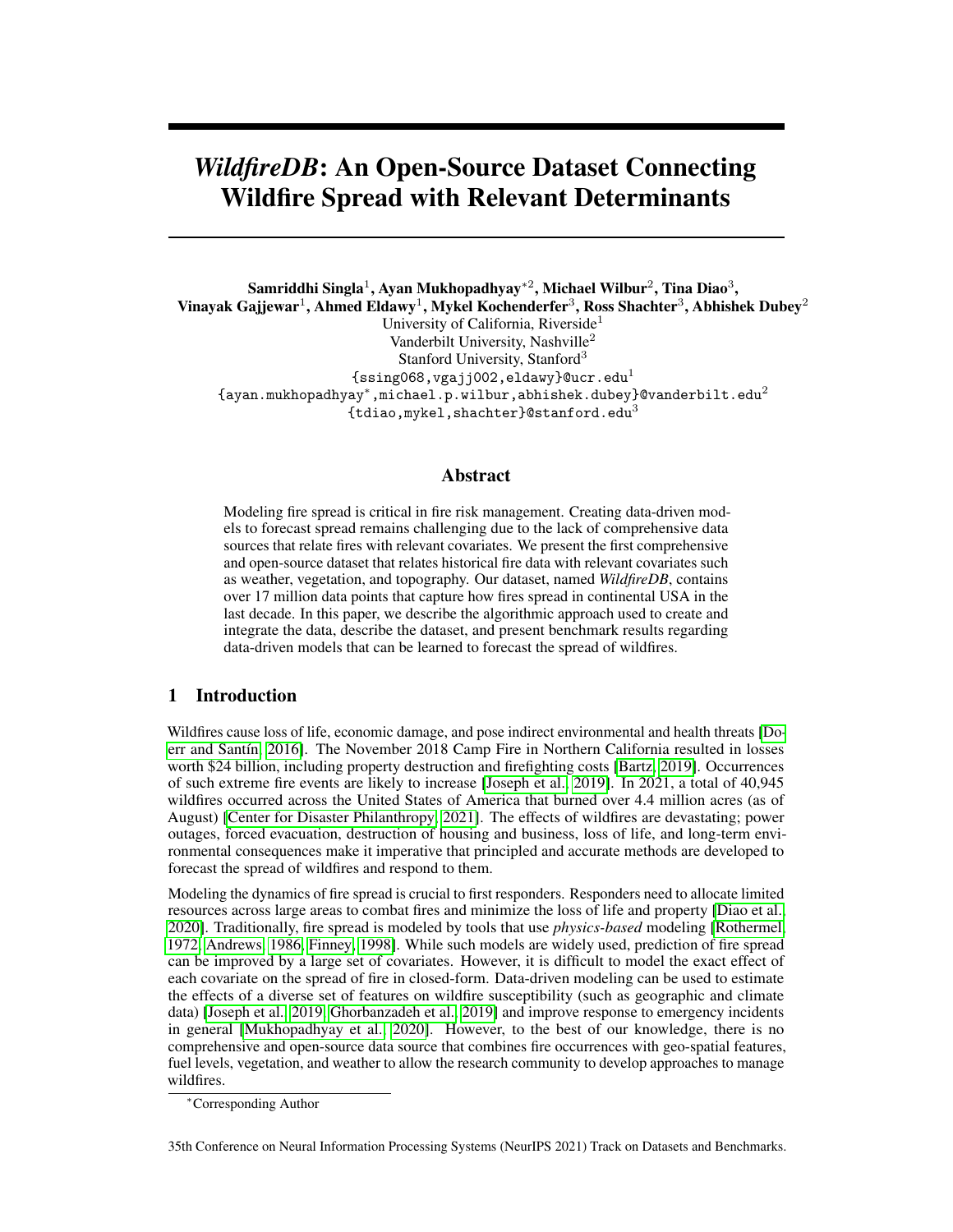## <span id="page-5-0"></span>5 Benchmark Results

While our goal is to release an open-source dataset that links fire occurrence with relevant determinants, we also present some results using standard learning approaches to show how *WildfireDB* can be used to forecast the spread of wildfires. The results are presented using data instances that did not have any missing values; we do not perform (or suggest) any data imputation to preserve the original data that was collected. Practitioners and users can choose to replace missing values based on the context and domain expertise. The total number of data points we use for learning is 9,210,537. We use 80% of the data for training and 20% for testing, resulting in 7,368,430 data points in the train set and 1,842,107 in the test dataset.

We present results using three regression models, namely linear regression, random forests, and artificial neural network (ANN) [\[Murphy, 2012,](#page-7-12) [Goodfellow et al., 2016\]](#page-7-13). The results of the regression models are provided in Table [2.](#page-5-1) The random forest model consists of a maximum depth of 30, maximum samples per iteration of 5,000, and trees are varied between 50, 100, and 500. We find that the random forest model was insensitive to the number of trees. The neural network regression model consists of four hidden layers of 500, 400, 128, and 64 units respectively with ReLU activation and a single neuron in the output layer with linear activation. We use the Adam optimizer [\[Kingma and Ba,](#page-7-14) [2014\]](#page-7-14) with learning rate of 0.001 to train the network. We find that all the regression models have similar performance.

<span id="page-5-1"></span>Forecasting fire intensity can also be presented as a classification problem. In this case, a forecast is labeled as a true positive when both the predicted fire intensity and the recorded fire intensity are greater than a pre-specified threshold ( $\epsilon$ , say). We investigate three threshold values (0.5, 1.0, and 5.0). The results of the classification models (random forest, logistic regression, and neural network) are provided in Table [3.](#page-5-2) We observe that both regression and classification models perform poorly when trained using *WildfireDB*. We hypothesize that this results is largely due to the extremely high sparsity in the dataset. We point out that our goal in this paper is solely to create, document, and explain the data source and not focus on modeling fire spread. As a result, we only provide benchmark results using standard approaches and do not seek to create models that can outperform such baselines.

Table 2: Regression Models

| Model             | <b>MSE</b> | <b>MAE</b> |
|-------------------|------------|------------|
| Linear Regression | 45.88      | 1.08       |
| Random Forest     | 46.53      | 1.09       |
| Neural Network    | 46.73      | 1.08       |

<span id="page-5-2"></span>

| Model                 | FRP Threshold $(\epsilon)$ | Accuracy | Precision | Recall |
|-----------------------|----------------------------|----------|-----------|--------|
| Random Forest         | 0.5                        | 93%      | 0.62      | 0.00   |
| Random Forest         | 1.0                        | 94%      | 0.61      | 0.00   |
| Random Forest         | 5.0                        | 98%      | 0.00      | 0.00   |
| Logistic Regression   | 0.5                        | 93%      | 0.31      | 0.02   |
| Logistic Regression   | 1.0                        | 94%      | 0.26      | 0.01   |
| Logistic Regression   | 5.0                        | 98%      | 0.00      | 0.00   |
| <b>Neural Network</b> | 0.5                        | 93%      | 0.00      | 0.00   |
| Neural Network        | 1.0                        | 94%      | 0.00      | 0.00   |
| <b>Neural Network</b> | 5.0                        | 98%      | 0.00      | 0.00   |

Table 3: Classification Models

# 6 Discussion

Intended Use: As we show, the proposed dataset can be used to model the spread of wildfires as a function of relevant determinants like vegetation, altitude, canopy height, and weather. We hypothesize that the dataset can be used to achieve the following: a) simulate how fires can spread in the real-time to assist evacuation, b) inform agent-based modeling for planning emergency response,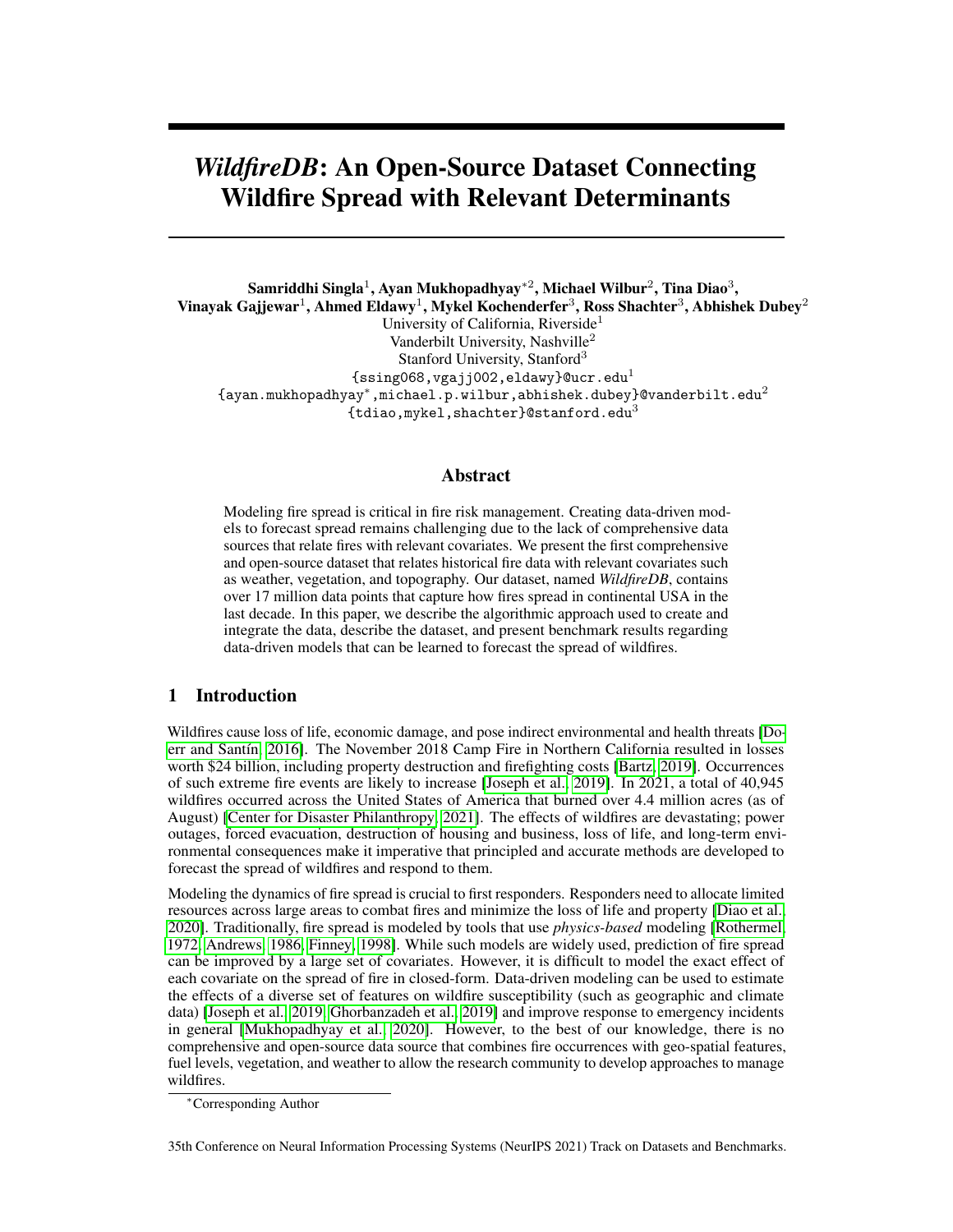c) simulate how fires might spread in the near future under the effects of deforestation and climate change, and d) aid planning of new infrastructure development and analyze risk from potential fires. Although the dataset is primarily designed to capture the spread of historic fires, it implicitly also contains data about fire occurrence itself. For example, it is possible to isolate spatial cells where fires originated by searching the spatial-temporal neighborhood of the fires. Using such an analysis, it is then possible to model the occurrence of fires.

Limitations: We point out the following limitations and words of caution about using the data. 1) Although the dataset captures relevant determinants of fire spread, note that we do not claim any causal link between the features and the spread of fire. For example, consider that a cell  $q_i \nvert 2 G$ is observed to be on fire at time-step t and a neighboring cell  $q_i \, 2 \, G$  is observed to be on fire at the subsequent time step  $t + 1$ . Although such data can be used to model the spread of fire, we do not claim (for reasons mentioned below) that the fire indeed spread to  $g_j$  from  $g_i$ . The fire could have spread to  $g_i$  from a different neighbor (which would also be captured by the data) or a new fire could have started in it. 2) Since wildfires pose threats to human lives, infrastructure, and the environment, first responders and firefighters respond to wildfires in order to suppress their spread. Such intervention focuses typically by targeting one of the two important ingredients that help fires spread – fuel and heat. Firefighters reduce heat by using water or fire retardant either on the ground or through air through aeroplanes. Fuel is removed by clearing areas of vegetation, which can include planned fires [\[US Department of Interior, 2020\]](#page-7-15). Our dataset does not consist of any information about such interventions. For example, consider a cell observed to be on fire through satellite imagery. Firefighters can respond to the fire before it spreads to a neighboring cell; while the fire *not* spreading to the neighboring cell is captured by our data, the intervention by firefighters is not captured. 3) Parts of the data we use to aggregate *WildfireDB* is generated through modeling on raw data. For example, the VIIRS fire product [NASA](#page-7-8) [\[2020\]](#page-7-8) determines the presence of fire by balancing the detection of small fires while simultaneously minimizing false positives. Any noise or inaccuracies generated through such modeling is also present in the proposed dataset.

## 7 Conclusion

We present an open-source dataset that captures fire occurrences in continental United States between 2012-17. We also extract information about determinants of fire spread such as topography, vegetation, and weather. Our data, presented in a discretized spatial and temporal setting, can be used to model fire spread as a function of different covariates. We also present benchmark results using well-known machine learning algorithms. Importantly, our findings reveal that it is difficult to model the spread of fire using machine learning models due to high sparsity in the data. To the best of our knowledge, *WildfireDB* is the first open-source dataset that connects occurrences of wildfires with topography, vegetation, and weather.

### References

- <span id="page-6-0"></span>Stefan H Doerr and Cristina Santín. Global trends in wildfire and its impacts: perceptions versus realities in a changing world. *Philosophical Transactions of the Royal Society B: Biological Sciences*, 371(1696):20150345, 2016.
- <span id="page-6-1"></span>Kelsey Bartz. Record wildfires push 2018 disaster costs to \$91 billion., 2019. URL [www.c2es.org/](www.c2es.org/2019/02/record-wildfires-push-2018-disaster-costs-to-91-billion/) [2019/02/record-wildfires-push-2018-disaster-costs-to-91-billion/](www.c2es.org/2019/02/record-wildfires-push-2018-disaster-costs-to-91-billion/).
- <span id="page-6-2"></span>Maxwell B Joseph, Matthew W Rossi, Nathan P Mietkiewicz, Adam L Mahood, Megan E Cattau, Lise Ann St. Denis, R Chelsea Nagy, Virginia Iglesias, John T Abatzoglou, and Jennifer K Balch. Spatiotemporal prediction of wildfire size extremes with bayesian finite sample maxima. *Ecological Applications*, 29(6), 2019.
- <span id="page-6-3"></span>Center for Disaster Philanthropy. 2021 north american wildfire season. [https:](https://disasterphilanthropy.org/disaster/2021-north-american-wildfire-season/) [//disasterphilanthropy.org/disaster/2021-north-american-wildfire-season/](https://disasterphilanthropy.org/disaster/2021-north-american-wildfire-season/), 2021.
- <span id="page-6-4"></span>Tina Diao, Samriddhi Singla, Ayan Mukhopadhyay, Ahmed Eldawy, Ross Shachter, and Mykel Kochenderfer. Uncertainty aware wildfire management. *arXiv preprint arXiv:2010.07915*, 2020.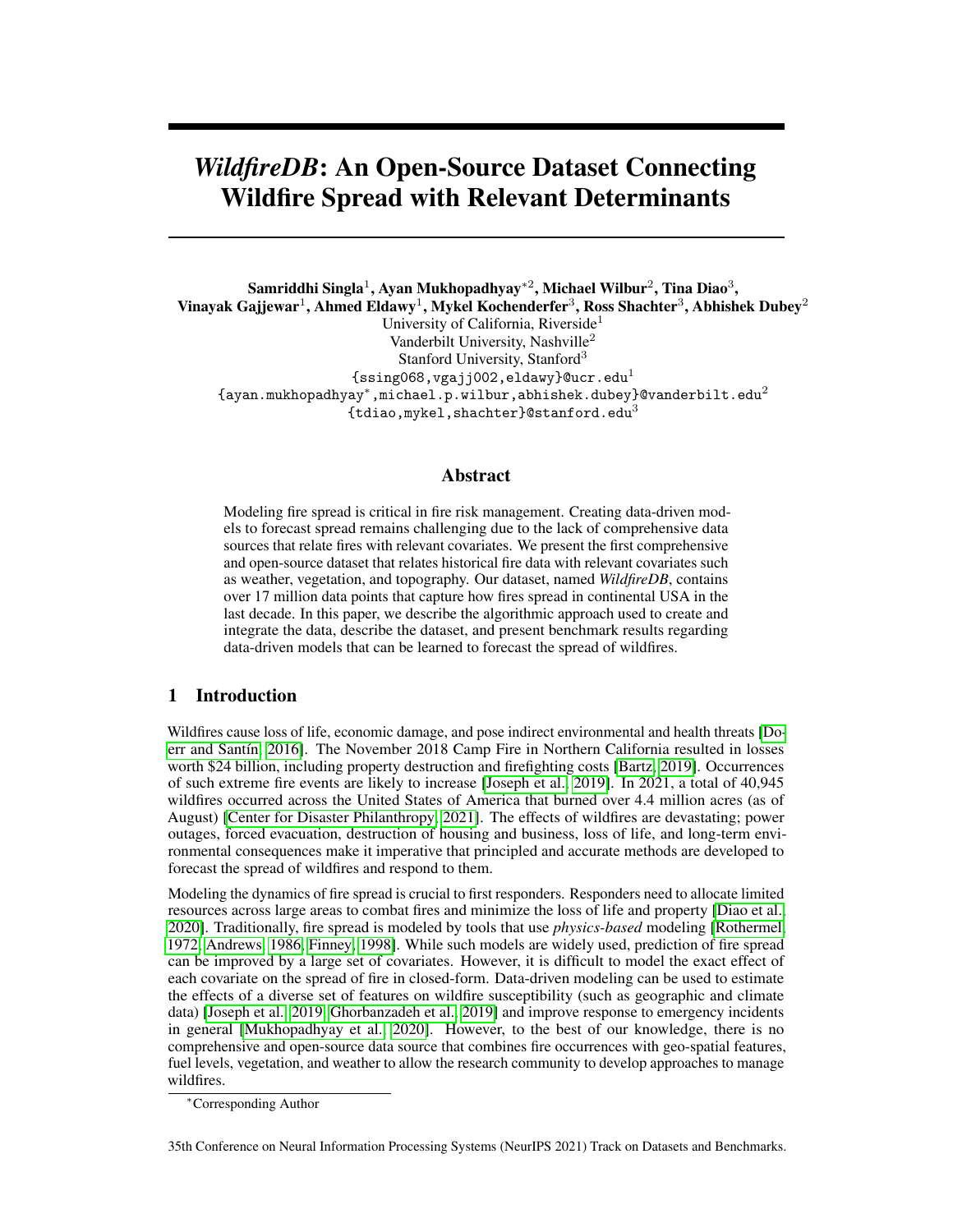- <span id="page-7-0"></span>Richard C Rothermel. *A mathematical model for predicting fire spread in wildland fuels*, volume 115. Intermountain Forest & Range Experiment Station, Forest Service, 1972.
- <span id="page-7-1"></span>Patricia L Andrews. *BEHAVE: fire behavior prediction and fuel modeling system: BURN subsystem, Part 1*, volume 194. US Department of Agriculture, Forest Service, Intermountain Research Station, 1986.
- <span id="page-7-2"></span>Mark A Finney. *FARSITE, Fire Area Simulator–model development and evaluation*. Number 4. US Department of Agriculture, Forest Service, Rocky Mountain Research Station, 1998.
- <span id="page-7-3"></span>Omid Ghorbanzadeh, Khalil Valizadeh Kamran, Thomas Blaschke, Jagannath Aryal, Amin Naboureh, Jamshid Einali, and Jinhu Bian. Spatial prediction of wildfire susceptibility using field survey gps data and machine learning approaches. *Fire*, 2(3):43, 2019.
- <span id="page-7-4"></span>Ayan Mukhopadhyay, Geoffrey Pettet, Sayyed Vazirizade, Di Lu, Hiba Baroud, Alex Jaimes, Yevgeniy Vorobeychik, Mykel Kochenderfer, and Abhishek Dubey. A review of emergency incident prediction, resource allocation and dispatch models. *arXiv preprint arXiv:2006.04200*, 2020.
- <span id="page-7-5"></span>Samriddhi Singla and Ahmed Eldawy. Raptor Zonal Statistics : Fully Distributed Zonal Statistics of Big Raster + Vector Data. In *IEEE International Conference on Big Data*, 2020.
- <span id="page-7-6"></span>Timnit Gebru, Jamie Morgenstern, Briana Vecchione, Jennifer Wortman Vaughan, Hanna Wallach, Hal Daumé III, and Kate Crawford. Datasheets for datasets. *arXiv preprint arXiv:1803.09010*, 2018.
- <span id="page-7-7"></span>Wilfrid Schroeder, Patricia Oliva, Louis Giglio, and Ivan A Csiszar. The new VIIRS 375 m active fire detection data product: Algorithm description and initial assessment. *Remote Sensing of Environment*, 143:85–96, 2014.
- <span id="page-7-8"></span>NASA. Nasa viirs land science investigator processing system. [https://viirsland.gsfc.nasa.](https://viirsland.gsfc.nasa.gov/PDF/VIIRS_activefire_User_Guide.pdf) [gov/PDF/VIIRS\\_activefire\\_User\\_Guide.pdf](https://viirsland.gsfc.nasa.gov/PDF/VIIRS_activefire_User_Guide.pdf), 2020.
- <span id="page-7-9"></span>Kevin C Ryan and Tonja S Opperman. Landfire–a national vegetation/fuels data base for use in fuels treatment, restoration, and suppression planning. *Forest Ecology and Management*, 294:208–216, 2013.
- <span id="page-7-10"></span>Meteostat. Historical weather and climate data. <https://meteostat.net/en> Raw data: NOAA, Deutscher Wetterdienst, 2020.
- <span id="page-7-11"></span>Ahmed Eldawy and Mohamed F Mokbel. Spatialhadoop: A mapreduce framework for spatial data. In *International Conference on Data Engineering*, pages 1352–1363, 2015.
- <span id="page-7-12"></span>Kevin P Murphy. *Machine Learning: A Probabilistic Perspective*. MIT press, 2012.

<span id="page-7-13"></span>Ian Goodfellow, Yoshua Bengio, and Aaron Courville. *Deep learning*. MIT press, 2016.

- <span id="page-7-14"></span>Diederik P Kingma and Jimmy Ba. Adam: A method for stochastic optimization. *arXiv preprint arXiv:1412.6980*, 2014.
- <span id="page-7-15"></span>US Department of Interior. Fire supression. [https://www.doi.gov/wildlandfire/](https://www.doi.gov/wildlandfire/suppression) [suppression](https://www.doi.gov/wildlandfire/suppression), 2020.

## A Supplementary Material

We present a detailed description of the dataset based on "datasheet for datasets" [\[Gebru et al., 2018\]](#page-7-6). We only explain details pertaining to *WildfireDB* (as suggested in [\[Gebru et al., 2018\]](#page-7-6)); for example, as the dataset does not pertain to people, topics such as re-identification, criminal history, gender composition, etc. are not relevant to the dataset in consideration.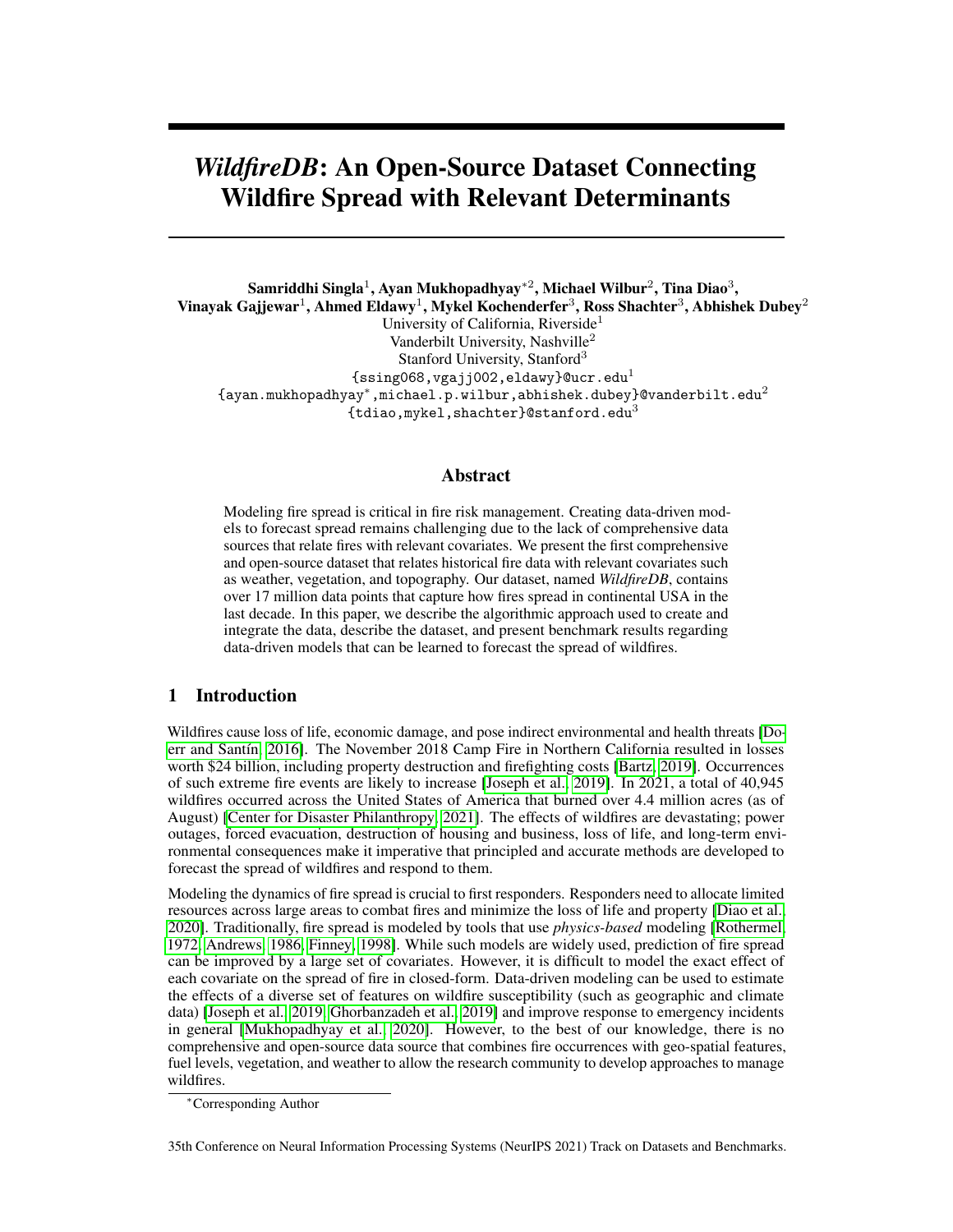#### A.1 Motivation

*WildfireDB* is created to enable data-driven forecasting of wildfires which in turn can aid emergency response. Traditional models that forecast the spread of fires are *physics-based*, that model the effect of each covariate on the spread of fire in closed-form. Data-driven models can accommodate a diverse set of covariates and capture complex non-linear combinations of such features to predict the dynamics of how fires propagate in the real world. The lack of a comprehensive dataset in this regard was the primary motivator behind the creation of *WildfireDB*.

The dataset was created by a collaboration between Vanderbilt University, Stanford University, and University of California, Riverside. The dataset was initially curated for studying how principled decision making under partially observable state spaces can aid response to wildfires. Multiple agencies have helped fund the creation of the dataset (see the following author initials and funding sources). Author SS was funded by Agriculture and Food Research Initiative Competitive Grants no. 2019-67022-29696 and 2020-69012-31914 from the USDA National Institute of Food and Agriculture, AM was funded by the Center of Automotive Research at Stanford (CARS) and National Science Foundation Award Number IIS181495, MW was funded by National Science Foundation Award Number IIS181495, and TD was funded by the Department of Management Science and Engineering at Stanford University.

#### A.2 Composition

Each instance in the dataset consists of information (vegetation type, canopy height, etc.) of a specific discretized spatial area (referred to as the reference cell) observed to be on fire at a given point in time. It also consists of information about one adjacent spatial area (referred to as a neighboring cell) and whether the neighboring cell was on fire at the subsequent time step or not. Each instance also consists of the local weather conditions (precipitation, humidity, etc.) and the relative strength of wind from the reference cell to the neighboring cell. The spatial and temporal granularity of the data are based on the maximum resolution at which fire occurrence data is available; each discrete spatial area is 375m x 375m and the time resolution is that of a day. The "label" of each instance is the FRP (fire radioactive power) of the neighboring cell. We envision that the data can be used to predict the spatial-temporal spread of fire. However, it is entirely possible to use the data to visualize historical fire occurrences, vegetation types, and weather; in such cases, the presence of a label is not required. The total number of data points is 17,820,835.

The data consists of all spatial areas detected to be on fire in continental United States between the years 2012-2017 through VIIRS sensors on the joint NASA/NOAA Suomi National Polar-orbiting Partnership (Suomi NPP) and NOAA-20 satellites. We point out that the direction of wind is missing for about 40% of the data. However, the magnitude of the wind is present for all data points.

#### A.3 Collection Process and Author Contributions

Each data source is listed in section [2](#page-1-0) of the main paper. The data was collected by authors TD, SS, MW, and AM. TD and AM evaluated multiple sources pertaining to wildfire data and finalized the chosen data source (VIIRS). The data was collected by TD directly from Earth Data, an open source data portal managed by NASA. SS merged the vector and raster data (see section [3\)](#page-2-0). MW collected the weather data from Meteostat [\[Meteostat, 2020\]](#page-7-10) and matched each instance of observed fire with relevant weather information. MW generated the benchmark results. The visualization platform was created by VG. The manuscript was written by AM and SS. Feedback about the manuscript was provided by MK, AD, AE, and RS. The overall process was supervised by AM. All authors were compensated through their salaries/research stipend at their respective universities.

### A.4 Preprocessing

Preprocessing steps are mentioned in the main body of the paper.

#### A.5 Uses

The primary purpose of the dataset is to forecast the spread of fires as a function of relevant covariates. The dataset has already been used to optimize response to wildfires [\[Diao et al., 2020\]](#page-6-4). We also